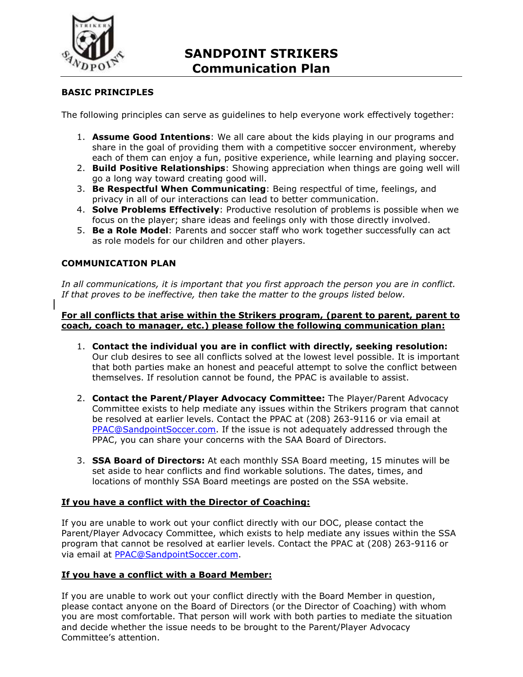

# **SANDPOINT STRIKERS Communication Plan**

## **BASIC PRINCIPLES**

The following principles can serve as guidelines to help everyone work effectively together:

- 1. **Assume Good Intentions**: We all care about the kids playing in our programs and share in the goal of providing them with a competitive soccer environment, whereby each of them can enjoy a fun, positive experience, while learning and playing soccer.
- 2. **Build Positive Relationships**: Showing appreciation when things are going well will go a long way toward creating good will.
- 3. **Be Respectful When Communicating**: Being respectful of time, feelings, and privacy in all of our interactions can lead to better communication.
- 4. **Solve Problems Effectively**: Productive resolution of problems is possible when we focus on the player; share ideas and feelings only with those directly involved.
- 5. **Be a Role Model**: Parents and soccer staff who work together successfully can act as role models for our children and other players.

## **COMMUNICATION PLAN**

*In all communications, it is important that you first approach the person you are in conflict. If that proves to be ineffective, then take the matter to the groups listed below.* 

#### **For all conflicts that arise within the Strikers program, (parent to parent, parent to coach, coach to manager, etc.) please follow the following communication plan:**

- 1. **Contact the individual you are in conflict with directly, seeking resolution:**  Our club desires to see all conflicts solved at the lowest level possible. It is important that both parties make an honest and peaceful attempt to solve the conflict between themselves. If resolution cannot be found, the PPAC is available to assist.
- 2. **Contact the Parent/Player Advocacy Committee:** The Player/Parent Advocacy Committee exists to help mediate any issues within the Strikers program that cannot be resolved at earlier levels. Contact the PPAC at (208) 263-9116 or via email at PPAC@SandpointSoccer.com. If the issue is not adequately addressed through the PPAC, you can share your concerns with the SAA Board of Directors.
- 3. **SSA Board of Directors:** At each monthly SSA Board meeting, 15 minutes will be set aside to hear conflicts and find workable solutions. The dates, times, and locations of monthly SSA Board meetings are posted on the SSA website.

#### **If you have a conflict with the Director of Coaching:**

If you are unable to work out your conflict directly with our DOC, please contact the Parent/Player Advocacy Committee, which exists to help mediate any issues within the SSA program that cannot be resolved at earlier levels. Contact the PPAC at (208) 263-9116 or via email at PPAC@SandpointSoccer.com.

#### **If you have a conflict with a Board Member:**

If you are unable to work out your conflict directly with the Board Member in question, please contact anyone on the Board of Directors (or the Director of Coaching) with whom you are most comfortable. That person will work with both parties to mediate the situation and decide whether the issue needs to be brought to the Parent/Player Advocacy Committee's attention.